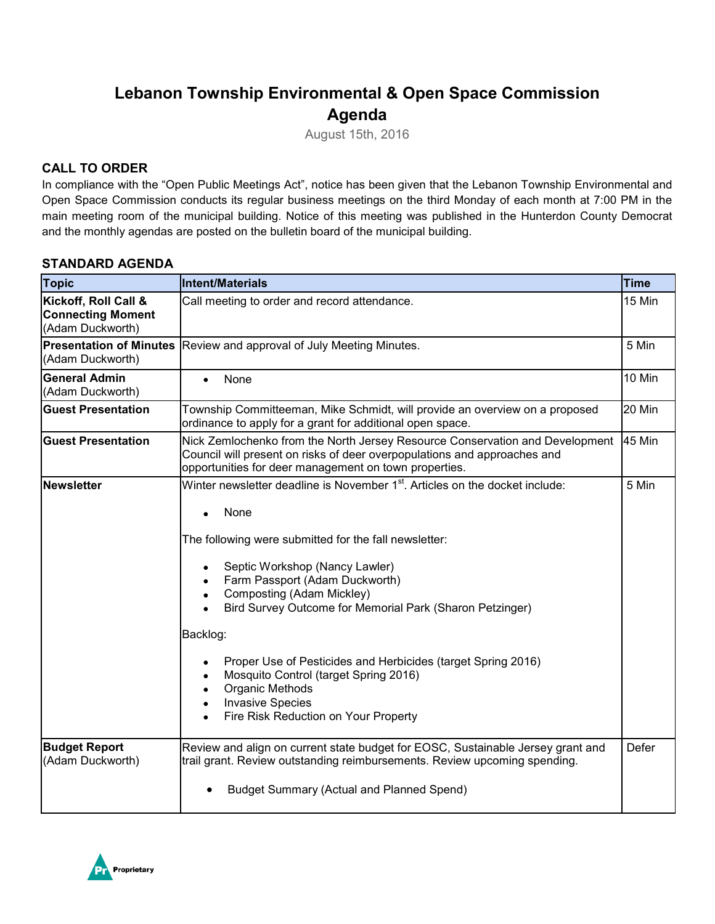# **Lebanon Township Environmental & Open Space Commission Agenda**

August 15th, 2016

# **CALL TO ORDER**

In compliance with the "Open Public Meetings Act", notice has been given that the Lebanon Township Environmental and Open Space Commission conducts its regular business meetings on the third Monday of each month at 7:00 PM in the main meeting room of the municipal building. Notice of this meeting was published in the Hunterdon County Democrat and the monthly agendas are posted on the bulletin board of the municipal building.

### **STANDARD AGENDA**

| <b>Topic</b>                                                         | <b>Intent/Materials</b>                                                                                                                                                                                                                                                                                                                                                                                                                                                                                                                                                                            | <b>Time</b>   |
|----------------------------------------------------------------------|----------------------------------------------------------------------------------------------------------------------------------------------------------------------------------------------------------------------------------------------------------------------------------------------------------------------------------------------------------------------------------------------------------------------------------------------------------------------------------------------------------------------------------------------------------------------------------------------------|---------------|
| Kickoff, Roll Call &<br><b>Connecting Moment</b><br>(Adam Duckworth) | Call meeting to order and record attendance.                                                                                                                                                                                                                                                                                                                                                                                                                                                                                                                                                       | 15 Min        |
| <b>Presentation of Minutes</b><br>(Adam Duckworth)                   | Review and approval of July Meeting Minutes.                                                                                                                                                                                                                                                                                                                                                                                                                                                                                                                                                       | 5 Min         |
| <b>General Admin</b><br>(Adam Duckworth)                             | None<br>$\bullet$                                                                                                                                                                                                                                                                                                                                                                                                                                                                                                                                                                                  | 10 Min        |
| <b>Guest Presentation</b>                                            | Township Committeeman, Mike Schmidt, will provide an overview on a proposed<br>ordinance to apply for a grant for additional open space.                                                                                                                                                                                                                                                                                                                                                                                                                                                           | 20 Min        |
| <b>Guest Presentation</b>                                            | Nick Zemlochenko from the North Jersey Resource Conservation and Development<br>Council will present on risks of deer overpopulations and approaches and<br>opportunities for deer management on town properties.                                                                                                                                                                                                                                                                                                                                                                                  | <b>45 Min</b> |
| Newsletter                                                           | Winter newsletter deadline is November 1 <sup>st</sup> . Articles on the docket include:<br>None<br>$\bullet$<br>The following were submitted for the fall newsletter:<br>Septic Workshop (Nancy Lawler)<br>Farm Passport (Adam Duckworth)<br>Composting (Adam Mickley)<br>$\bullet$<br>Bird Survey Outcome for Memorial Park (Sharon Petzinger)<br>Backlog:<br>Proper Use of Pesticides and Herbicides (target Spring 2016)<br>Mosquito Control (target Spring 2016)<br>Organic Methods<br>$\bullet$<br><b>Invasive Species</b><br>$\bullet$<br>Fire Risk Reduction on Your Property<br>$\bullet$ | 5 Min         |
| <b>Budget Report</b><br>(Adam Duckworth)                             | Review and align on current state budget for EOSC, Sustainable Jersey grant and<br>trail grant. Review outstanding reimbursements. Review upcoming spending.<br><b>Budget Summary (Actual and Planned Spend)</b>                                                                                                                                                                                                                                                                                                                                                                                   | Defer         |

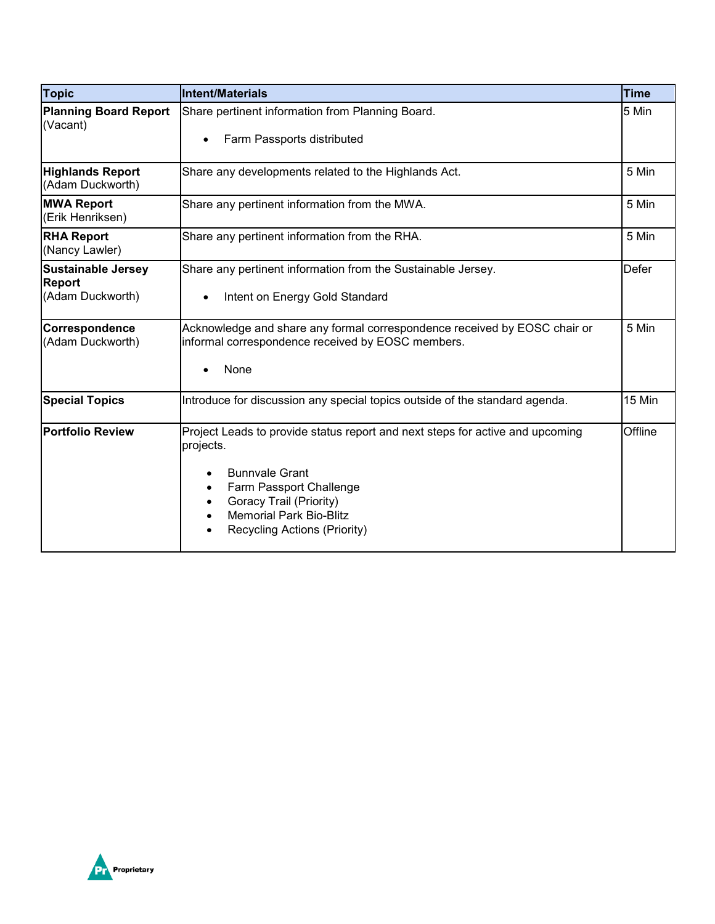| <b>Topic</b>                                                   | <b>Intent/Materials</b>                                                                                                                                                                                                                                  | <b>Time</b>  |
|----------------------------------------------------------------|----------------------------------------------------------------------------------------------------------------------------------------------------------------------------------------------------------------------------------------------------------|--------------|
| <b>Planning Board Report</b><br>(Vacant)                       | Share pertinent information from Planning Board.<br>Farm Passports distributed                                                                                                                                                                           | 5 Min        |
| <b>Highlands Report</b><br>(Adam Duckworth)                    | Share any developments related to the Highlands Act.                                                                                                                                                                                                     | 5 Min        |
| <b>MWA Report</b><br>(Erik Henriksen)                          | Share any pertinent information from the MWA.                                                                                                                                                                                                            | 5 Min        |
| <b>RHA Report</b><br>(Nancy Lawler)                            | Share any pertinent information from the RHA.                                                                                                                                                                                                            | 5 Min        |
| <b>Sustainable Jersey</b><br><b>Report</b><br>(Adam Duckworth) | Share any pertinent information from the Sustainable Jersey.<br>Intent on Energy Gold Standard<br>$\bullet$                                                                                                                                              | <b>Defer</b> |
| Correspondence<br>(Adam Duckworth)                             | Acknowledge and share any formal correspondence received by EOSC chair or<br>informal correspondence received by EOSC members.<br>None                                                                                                                   | 5 Min        |
| <b>Special Topics</b>                                          | Introduce for discussion any special topics outside of the standard agenda.                                                                                                                                                                              | 15 Min       |
| <b>Portfolio Review</b>                                        | Project Leads to provide status report and next steps for active and upcoming<br>projects.<br><b>Bunnvale Grant</b><br>Farm Passport Challenge<br>$\bullet$<br>Goracy Trail (Priority)<br><b>Memorial Park Bio-Blitz</b><br>Recycling Actions (Priority) | Offline      |

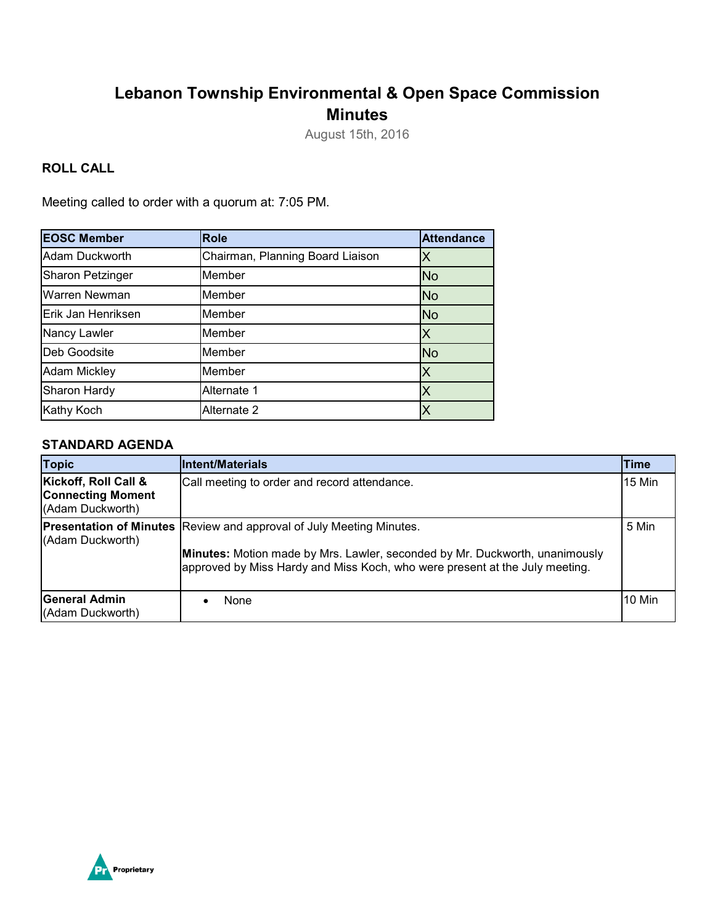# **Lebanon Township Environmental & Open Space Commission Minutes**

August 15th, 2016

# **ROLL CALL**

Meeting called to order with a quorum at: 7:05 PM.

| <b>EOSC Member</b>      | <b>Role</b>                      | <b>Attendance</b> |
|-------------------------|----------------------------------|-------------------|
| Adam Duckworth          | Chairman, Planning Board Liaison | Χ                 |
| <b>Sharon Petzinger</b> | Member                           | <b>No</b>         |
| Warren Newman           | Member                           | <b>No</b>         |
| Erik Jan Henriksen      | Member                           | <b>No</b>         |
| Nancy Lawler            | Member                           |                   |
| Deb Goodsite            | Member                           | <b>No</b>         |
| <b>Adam Mickley</b>     | Member                           | Χ                 |
| Sharon Hardy            | Alternate 1                      |                   |
| Kathy Koch              | Alternate 2                      |                   |

## **STANDARD AGENDA**

| Topic                                                                | <b>IIntent/Materials</b>                                                                                                                                                                                                                  | Time   |
|----------------------------------------------------------------------|-------------------------------------------------------------------------------------------------------------------------------------------------------------------------------------------------------------------------------------------|--------|
| Kickoff, Roll Call &<br><b>Connecting Moment</b><br>(Adam Duckworth) | Call meeting to order and record attendance.                                                                                                                                                                                              | 15 Min |
| (Adam Duckworth)                                                     | <b>Presentation of Minutes Review and approval of July Meeting Minutes.</b><br>Minutes: Motion made by Mrs. Lawler, seconded by Mr. Duckworth, unanimously<br>approved by Miss Hardy and Miss Koch, who were present at the July meeting. | 5 Min  |
| <b>IGeneral Admin</b><br>(Adam Duckworth)                            | None                                                                                                                                                                                                                                      | 10 Min |

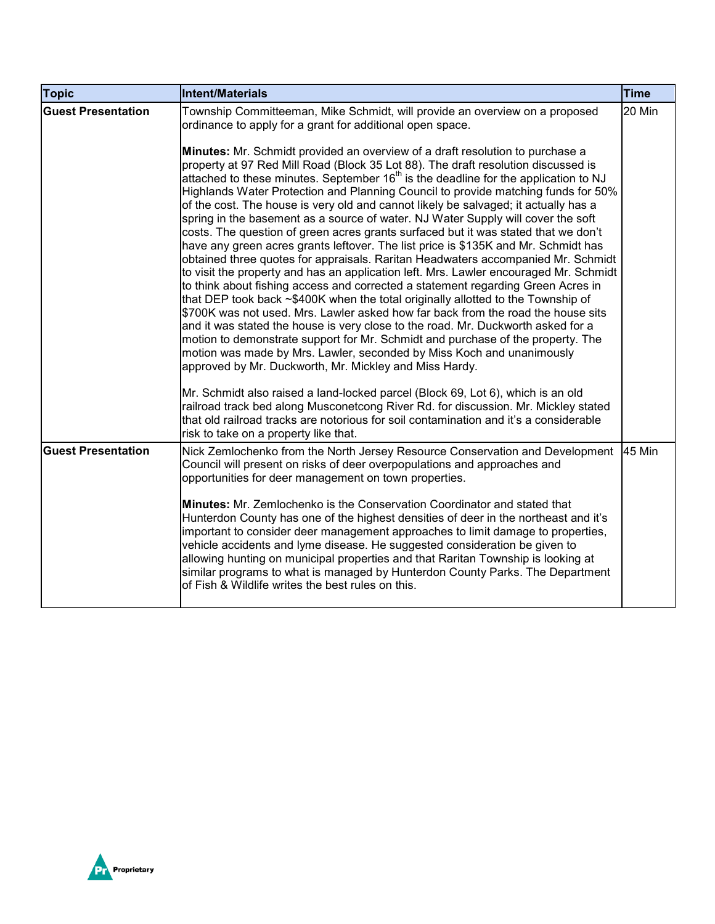| <b>Topic</b>              | Intent/Materials                                                                                                                                                                                                                                                                                                                                                                                                                                                                                                                                                                                                                                                                                                                                                                                                                                                                                                                                                                                                                                                                                                                                                                                                                                                                                                                                                                                                                                                                                                                                                                                                                                                                                    | <b>Time</b> |
|---------------------------|-----------------------------------------------------------------------------------------------------------------------------------------------------------------------------------------------------------------------------------------------------------------------------------------------------------------------------------------------------------------------------------------------------------------------------------------------------------------------------------------------------------------------------------------------------------------------------------------------------------------------------------------------------------------------------------------------------------------------------------------------------------------------------------------------------------------------------------------------------------------------------------------------------------------------------------------------------------------------------------------------------------------------------------------------------------------------------------------------------------------------------------------------------------------------------------------------------------------------------------------------------------------------------------------------------------------------------------------------------------------------------------------------------------------------------------------------------------------------------------------------------------------------------------------------------------------------------------------------------------------------------------------------------------------------------------------------------|-------------|
| <b>Guest Presentation</b> | Township Committeeman, Mike Schmidt, will provide an overview on a proposed<br>ordinance to apply for a grant for additional open space.<br>Minutes: Mr. Schmidt provided an overview of a draft resolution to purchase a<br>property at 97 Red Mill Road (Block 35 Lot 88). The draft resolution discussed is<br>attached to these minutes. September 16 <sup>th</sup> is the deadline for the application to NJ<br>Highlands Water Protection and Planning Council to provide matching funds for 50%<br>of the cost. The house is very old and cannot likely be salvaged; it actually has a<br>spring in the basement as a source of water. NJ Water Supply will cover the soft<br>costs. The question of green acres grants surfaced but it was stated that we don't<br>have any green acres grants leftover. The list price is \$135K and Mr. Schmidt has<br>obtained three quotes for appraisals. Raritan Headwaters accompanied Mr. Schmidt<br>to visit the property and has an application left. Mrs. Lawler encouraged Mr. Schmidt<br>to think about fishing access and corrected a statement regarding Green Acres in<br>that DEP took back ~\$400K when the total originally allotted to the Township of<br>\$700K was not used. Mrs. Lawler asked how far back from the road the house sits<br>and it was stated the house is very close to the road. Mr. Duckworth asked for a<br>motion to demonstrate support for Mr. Schmidt and purchase of the property. The<br>motion was made by Mrs. Lawler, seconded by Miss Koch and unanimously<br>approved by Mr. Duckworth, Mr. Mickley and Miss Hardy.<br>Mr. Schmidt also raised a land-locked parcel (Block 69, Lot 6), which is an old | 20 Min      |
|                           | railroad track bed along Musconetcong River Rd. for discussion. Mr. Mickley stated<br>that old railroad tracks are notorious for soil contamination and it's a considerable<br>risk to take on a property like that.                                                                                                                                                                                                                                                                                                                                                                                                                                                                                                                                                                                                                                                                                                                                                                                                                                                                                                                                                                                                                                                                                                                                                                                                                                                                                                                                                                                                                                                                                |             |
| <b>Guest Presentation</b> | Nick Zemlochenko from the North Jersey Resource Conservation and Development<br>Council will present on risks of deer overpopulations and approaches and<br>opportunities for deer management on town properties.<br><b>Minutes:</b> Mr. Zemlochenko is the Conservation Coordinator and stated that<br>Hunterdon County has one of the highest densities of deer in the northeast and it's<br>important to consider deer management approaches to limit damage to properties,<br>vehicle accidents and lyme disease. He suggested consideration be given to<br>allowing hunting on municipal properties and that Raritan Township is looking at<br>similar programs to what is managed by Hunterdon County Parks. The Department<br>of Fish & Wildlife writes the best rules on this.                                                                                                                                                                                                                                                                                                                                                                                                                                                                                                                                                                                                                                                                                                                                                                                                                                                                                                              | 45 Min      |

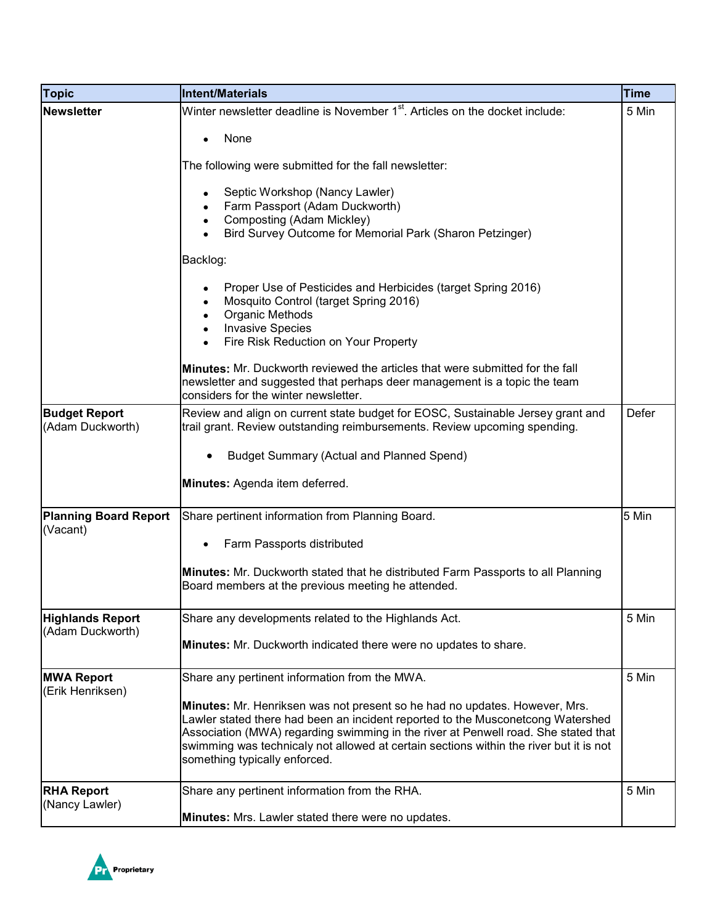| <b>Topic</b>                                | <b>Intent/Materials</b>                                                                                                                                                                                                                                                                                                                                                        | <b>Time</b> |
|---------------------------------------------|--------------------------------------------------------------------------------------------------------------------------------------------------------------------------------------------------------------------------------------------------------------------------------------------------------------------------------------------------------------------------------|-------------|
| <b>Newsletter</b>                           | Winter newsletter deadline is November 1 <sup>st</sup> . Articles on the docket include:                                                                                                                                                                                                                                                                                       | 5 Min       |
|                                             | None                                                                                                                                                                                                                                                                                                                                                                           |             |
|                                             | The following were submitted for the fall newsletter:                                                                                                                                                                                                                                                                                                                          |             |
|                                             | Septic Workshop (Nancy Lawler)<br>Farm Passport (Adam Duckworth)<br>Composting (Adam Mickley)<br>Bird Survey Outcome for Memorial Park (Sharon Petzinger)                                                                                                                                                                                                                      |             |
|                                             | Backlog:                                                                                                                                                                                                                                                                                                                                                                       |             |
|                                             | Proper Use of Pesticides and Herbicides (target Spring 2016)<br>Mosquito Control (target Spring 2016)<br>Organic Methods<br><b>Invasive Species</b><br>Fire Risk Reduction on Your Property                                                                                                                                                                                    |             |
|                                             | <b>Minutes:</b> Mr. Duckworth reviewed the articles that were submitted for the fall<br>newsletter and suggested that perhaps deer management is a topic the team<br>considers for the winter newsletter.                                                                                                                                                                      |             |
| <b>Budget Report</b><br>(Adam Duckworth)    | Review and align on current state budget for EOSC, Sustainable Jersey grant and<br>trail grant. Review outstanding reimbursements. Review upcoming spending.                                                                                                                                                                                                                   | Defer       |
|                                             | <b>Budget Summary (Actual and Planned Spend)</b>                                                                                                                                                                                                                                                                                                                               |             |
|                                             | Minutes: Agenda item deferred.                                                                                                                                                                                                                                                                                                                                                 |             |
| <b>Planning Board Report</b><br>(Vacant)    | Share pertinent information from Planning Board.                                                                                                                                                                                                                                                                                                                               | 5 Min       |
|                                             | Farm Passports distributed                                                                                                                                                                                                                                                                                                                                                     |             |
|                                             | <b>Minutes:</b> Mr. Duckworth stated that he distributed Farm Passports to all Planning<br>Board members at the previous meeting he attended.                                                                                                                                                                                                                                  |             |
| <b>Highlands Report</b><br>(Adam Duckworth) | Share any developments related to the Highlands Act.<br>Minutes: Mr. Duckworth indicated there were no updates to share.                                                                                                                                                                                                                                                       | 5 Min       |
| <b>MWA Report</b><br>(Erik Henriksen)       | Share any pertinent information from the MWA.                                                                                                                                                                                                                                                                                                                                  | 5 Min       |
|                                             | Minutes: Mr. Henriksen was not present so he had no updates. However, Mrs.<br>Lawler stated there had been an incident reported to the Musconetcong Watershed<br>Association (MWA) regarding swimming in the river at Penwell road. She stated that<br>swimming was technicaly not allowed at certain sections within the river but it is not<br>something typically enforced. |             |
| <b>RHA Report</b><br>(Nancy Lawler)         | Share any pertinent information from the RHA.<br>Minutes: Mrs. Lawler stated there were no updates.                                                                                                                                                                                                                                                                            | 5 Min       |

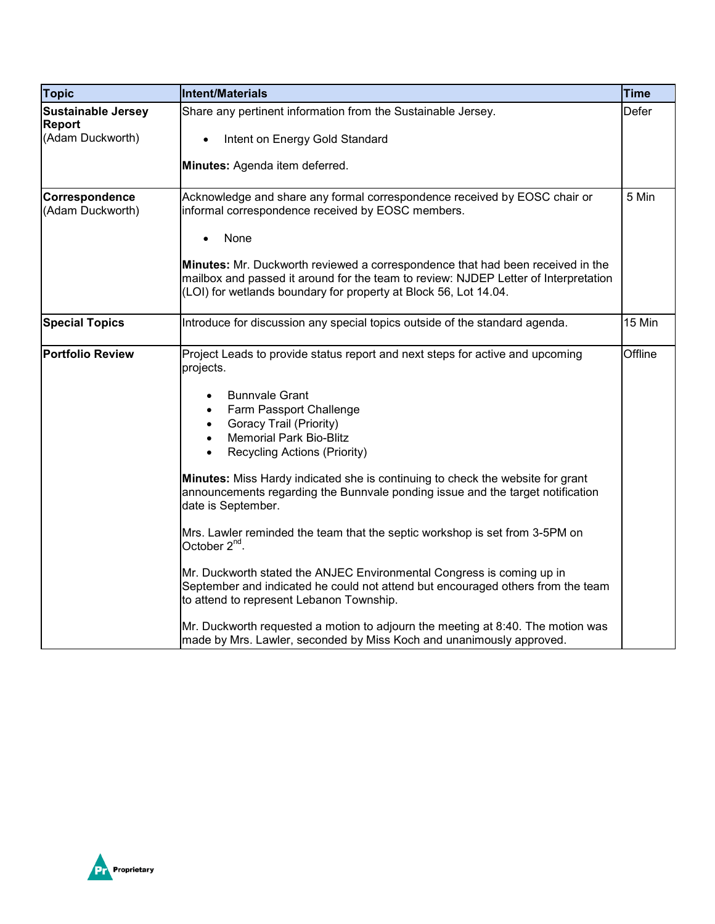| <b>Topic</b>                               | <b>Intent/Materials</b>                                                                                                                                                                                                                                                                                                                                                                                                                                                                                                                                                                                                                                                                                                                                                                                                   | <b>Time</b>  |
|--------------------------------------------|---------------------------------------------------------------------------------------------------------------------------------------------------------------------------------------------------------------------------------------------------------------------------------------------------------------------------------------------------------------------------------------------------------------------------------------------------------------------------------------------------------------------------------------------------------------------------------------------------------------------------------------------------------------------------------------------------------------------------------------------------------------------------------------------------------------------------|--------------|
| <b>Sustainable Jersey</b><br><b>Report</b> | Share any pertinent information from the Sustainable Jersey.                                                                                                                                                                                                                                                                                                                                                                                                                                                                                                                                                                                                                                                                                                                                                              | <b>Defer</b> |
| (Adam Duckworth)                           | Intent on Energy Gold Standard<br>$\bullet$                                                                                                                                                                                                                                                                                                                                                                                                                                                                                                                                                                                                                                                                                                                                                                               |              |
|                                            | Minutes: Agenda item deferred.                                                                                                                                                                                                                                                                                                                                                                                                                                                                                                                                                                                                                                                                                                                                                                                            |              |
| Correspondence<br>(Adam Duckworth)         | Acknowledge and share any formal correspondence received by EOSC chair or<br>informal correspondence received by EOSC members.                                                                                                                                                                                                                                                                                                                                                                                                                                                                                                                                                                                                                                                                                            | 5 Min        |
|                                            | None<br>$\bullet$                                                                                                                                                                                                                                                                                                                                                                                                                                                                                                                                                                                                                                                                                                                                                                                                         |              |
|                                            | Minutes: Mr. Duckworth reviewed a correspondence that had been received in the<br>mailbox and passed it around for the team to review: NJDEP Letter of Interpretation<br>(LOI) for wetlands boundary for property at Block 56, Lot 14.04.                                                                                                                                                                                                                                                                                                                                                                                                                                                                                                                                                                                 |              |
| <b>Special Topics</b>                      | Introduce for discussion any special topics outside of the standard agenda.                                                                                                                                                                                                                                                                                                                                                                                                                                                                                                                                                                                                                                                                                                                                               | 15 Min       |
| <b>Portfolio Review</b>                    | Project Leads to provide status report and next steps for active and upcoming<br>projects.<br><b>Bunnvale Grant</b><br>٠<br>Farm Passport Challenge<br>$\bullet$<br>Goracy Trail (Priority)<br>$\bullet$<br><b>Memorial Park Bio-Blitz</b><br>$\bullet$<br><b>Recycling Actions (Priority)</b><br>$\bullet$<br>Minutes: Miss Hardy indicated she is continuing to check the website for grant<br>announcements regarding the Bunnvale ponding issue and the target notification<br>date is September.<br>Mrs. Lawler reminded the team that the septic workshop is set from 3-5PM on<br>October 2 <sup>nd</sup> .<br>Mr. Duckworth stated the ANJEC Environmental Congress is coming up in<br>September and indicated he could not attend but encouraged others from the team<br>to attend to represent Lebanon Township. | Offline      |
|                                            | Mr. Duckworth requested a motion to adjourn the meeting at 8:40. The motion was<br>made by Mrs. Lawler, seconded by Miss Koch and unanimously approved.                                                                                                                                                                                                                                                                                                                                                                                                                                                                                                                                                                                                                                                                   |              |